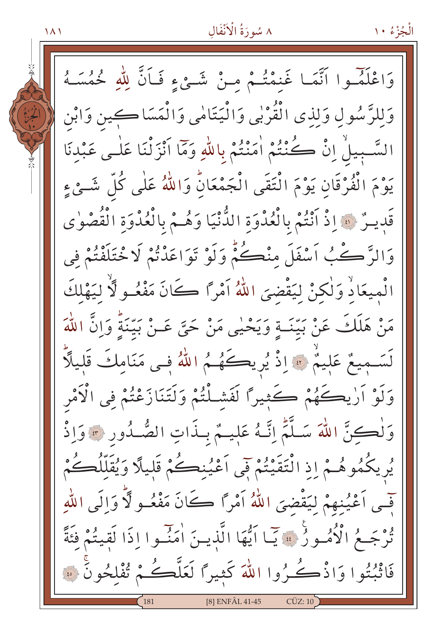٨ سُورَةُ الْأَنْفَالِ

وَاعْلَمُوا أَنَّمَا غَنِمْتُمْ مِنْ شَيْءٍ فَـأَنَّ لِلَّهِ خُمُسَـهُ وَلِلرَّسُولِ وَلِذِي الْقُرْبِي وَالْيَتَامِٰي وَالْمَسَاكِينِ وَابْنِ السَّبِيلُ إِنْ كُنْتُمْ اٰمَنْتُمْ بِاللَّهِ وَمَا أَنْزَلْنَا عَلَى عَبْدنَا يَوْمَ الْفُرْقَانِ يَوْمَ الْتَقَى الْجَمْعَانُ وَاللَّهُ عَلَى كُلِّ شَـِّيْءِ قَدِينٌ ۞ إِذْ أَنْتُمْ بِالْعُدْوَةِ الدُّّنْيَا وَهُـمْ بِالْعُدْوَةِ الْقُصْوٰى وَالرَّ ڪُبُ اَسْفَلَ مِنْڪُمُّ وَلَوْ تَوَاعَدْتُمْ لَا خْتَلَفْتُمْ فِي الْمِيعَاذِ وَلٰكِنْ لِيَقْضِيَ اللَّهُ آَمْرًا كَانَ مَفْعُـوٍ لِّأَ لِيَهْلِكَ مَنْ هَلَكَ عَنْ بَيِّنَــةٍ وَيَحْيٰى مَنْ حَيَّ عَــنْ بَيّتَةً وَاِنَّ اللّهَ لَسَمِيعٌ عَلِيمٌ ﴾ إذْ يُرِيكَهُمُ اللهُ فـى مَنَامكَ قَليلًا وَلَوْ اَرْيِكَهُمْ كَثِيرًا لَفَشَلْتُمْ وَلَتَنَازَعْتُمْ فِي الْأَمْرِ وَلْكِنَّ اللَّهَ سَلَّمَّ إِنَّهُ عَلِيمٌ بِبذَاتِ الصُّدُورِ \* وَإِذْ يُرِيكُمُوهُـمْ إِذِ الْتَقَيْتُمْ فِي اَعْيُنِكُمْ قَليلًا وَيُقَلِّلُكُمْ فِّسِي اَعْيُنِهِمْ لِيَقْضِيَ اللَّهُ اَمْراً كَانَ مَفْعُـو لَّا وَالَى اللَّهِ نُوجَعُ الْأُمُورُ ۚ ﴾ يَا أَيُّهَا الَّذِينَ اٰمَنُوا إِذَا لَقِيتُمْ فَئَةً فَاثْبُتُوا وَاذْكُرُوا اللَّهَ كَثِيرًا لَعَلَّكُمْ تُفْلِحُونَ ۞ **[8] ENFÂL 41-45**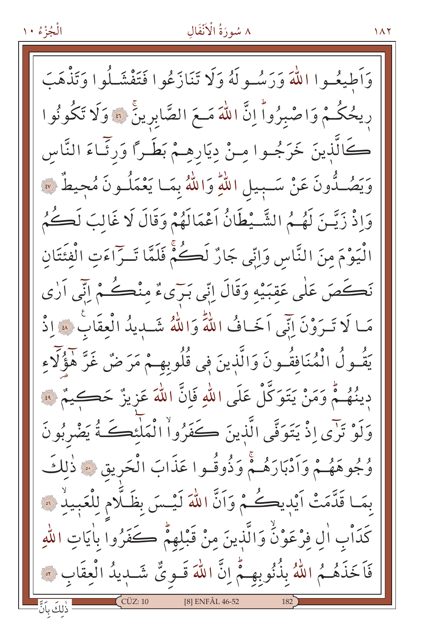# ٨ سُورَةُ الْأَنْفَالِ

 $\lambda$ 

وَأَطِيعُهِ ا اللَّهَ وَرَسُهِ لَهُ وَلَا تَنَازَعُوا فَتَفْشَلُوا وَتَذْهَبَ رِيحُكُمْ وَاصْبِرُواْ إِنَّ اللَّهَ مَـعَ الصَّابِرِينَ ۞ وَلَا تَكُونُوا كَالَّذِينَ خَرَجُـوا مِـنْ دِيَارِهِـمْ بَطَـرًا وَرئَـاءَ النَّاس وَيَصُـدُّونَ عَنْ سَـبِيلِ اللَّهِ وَاللَّهُ بِمَـا يَعْمَلُـونَ مُحِيطٌ ۞ وَإِذْ زَيَّـنَ لَهُـمُ الشَّـيْطَانُ أَعْمَالَهُمْ وَقَالَ لَا غَالبَ لَكُـكُمُ الْيَوْمَ مِنَ النَّاسِ وَابِّي جَارٌ لَكُمٌّ فَلَمَّا تَــرّاءَتِ الْفئَتَانِ نَڪَصَ عَلَى عَقِبَيْهِ وَقَالَ إِنِّي بَرِّيءٌ مِنْڪُمْ إِنِّي أَرٰي مَا لَا تَبِرَوْنَ إِنِّي اَخَافُ اللَّهَ وَاللَّهُ شَبِيدُ الْعِقَابُ \* إِذْ يَقُـولُ الْمُنَافِقُـونَ وَالَّذينَ في قُلُوبهِـمْ مَرَضٌ غَرَّ هٰؤُلَاءِ دينُهُـمْ وَمَنْ يَتَوَكَّلْ عَلَى اللَّهِ فَإِنَّ اللَّهَ عَزِيزٌ حَكِيمٌ ۞ وَلَوْ تَرْىِ إِذْ يَتَوَفَّى الَّذِينَ كَفَرُواْ الْمَلْئِكَةُ يَضْرِبُونَ وُجُوهَهُـمْ وَأَدْبَارَهُـمْ وَذُوقُـوا عَذَابَ الْحَرِيقِ ۞ ذٰلكَ بِمَا قَدَّمَتْ أَيْدِيكُمْ وَأَنَّ اللَّهَ لَيْسَ بِظَلَّامِ لِلْعَبِيلِٰ ﴾ كَدَابِ اللّهِ فِرْعَوْنُ وَالَّذِينَ مِنْ قَبْلِهِمْ كَفَرُوا بِاٰيَاتِ اللّهِ فَاَخَذَهُـمُ اللَّهُ بِذُنُوبِهِـمُّ إِنَّ اللَّهَ قَـوِيٌّ شَـدِيدُ الْعِقَابِ ۞ [8] ENFÂL 46-52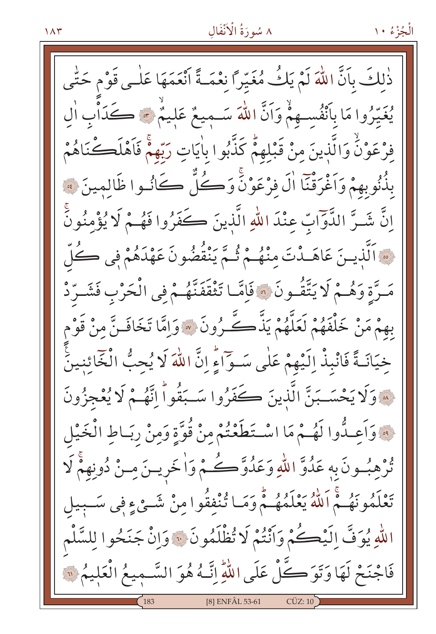# ٨ سُورَةُ الْأَنْفَالِ

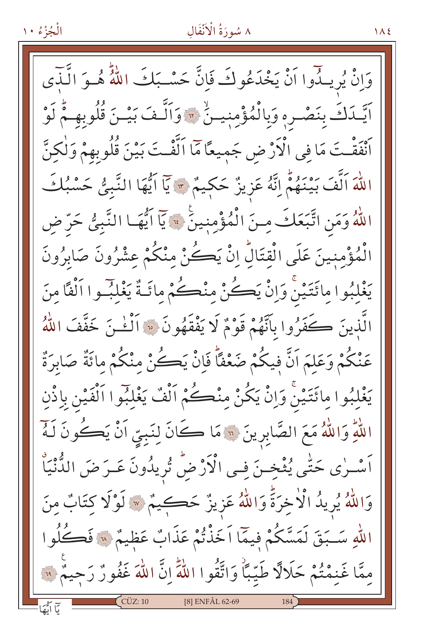# ٨ سُورَةُ الْأَنْفَالِ

 $\Lambda$ 

وَإِنْ يُرِيثُوا أَنْ يَخْدَعُو كَ فَانَّ حَسْبَكَ اللَّهُ هُـوَ الَّنْدَى اَيَّدَكَ بِنَصْرِهِ وَبِالْمُؤْمِنِينُ \* وَاَلَّفَ بَيْنَ قُلُوبِهِمْ لَوْ ٱنْفَقَّـتَ مَا فِي الْأَرْضِ جَمِيعًا مَّا الَّفْتَ بَيْنَ قُلُوبِهِمْ وَلْكِنَّ اللَّهَ اَلَّفَ بَيْنَهُمْ اِنَّهُ عَزِيزٌ حَكِيمٌ \* يَآ اَيُّهَا النَّبِيُّ حَسْبُكَ اللَّهُ وَمَنِ اتَّبَعَكَ مِنَ الْمُؤْمِنِينَ ۚ ۚ يَآ اَيُّهَـا النَّبِيُّ حَرّ ض الْمُؤْمنِينَ عَلَى الْقِتَالُ إِنْ يَكُنْ مِنْكُمْ عِشْرُونَ صَابِرُونَ يَغْلَبُوا مائَتَيْنُ وَإِنْ يَڪُنْ منْڪُمْ مائَـةٌ يَغْلَبُـوا اَلْفًا منَ الَّذِينَ كَفَرُوا بِأَنَّهُمْ قَوْمٌ لَا يَفْقَهُونَ ۞ أَلْمَٰنَ خَفَّفَ اللَّهُ عَنْكُمْ وَعَلَمَ اَنَّ فِيكُمْ ضَعْفًا فَإِنْ يَكُنْ مِنْكُمْ مِائَةٌ صَابِرَةٌ يَغْلِبُوا مِائَتَيْنْ وَإِنْ يَكُنْ مِنْكُمْ اَلْفٌ يَغْلِبُوا اَلْفَيْنِ بِاذْنِ اللَّهِ وَاللَّهُ مَعَ الصَّابِرِينَ ۞ مَا كَانَ لِنَبِيِّ اَنْ يَكُونَ لَـهُمْ اَسْـرٰى حَتّٰى يُثْخِـنَ فِـى الْأَرْضُ تُرِيدُونَ عَـرَضَ الدُّنْيَاْ وَاللَّهُ يُرِيدُ الْأَخِرَةَ وَاللَّهُ عَزِيزٌ حَكِيمٌ \* لَوْلَا كِتَابٌ مِنَ اللهِ سَبَقَ لَمَسَّكُمْ فِيمَّا اَخَذْتُمْ عَذَابٌ عَظِيمٌ \* فَكُلُوا مِمَّا غَنِمْتُمْ حَلَالًا طَيِّبًا وَاتَّقُوا اللَّهَ إِنَّ اللَّهَ غَفُونٌ رَجِيمٌ ۚ لِنَّ [8] ENFÂL 62-69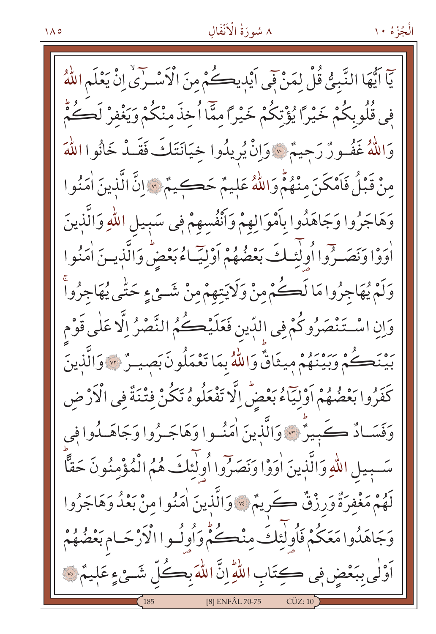# ٨ سُورَةُ الْأَنْفَالِ

الْجُزْءُ ١٠

يٓا ايُّهَا النَّبِيُّ قُلْ لِمَنْ فَى اَيْدِيكُمْ مِنَ الْأَسْـرٰىٰ إِنْ يَعْلَم اللَّهُ فِي قُلُوبِكُمْ خَيْرًا يُؤْتِكُمْ خَيْرًا مِمَّا اُخِذَمْنْكُمْ وَيَغْفِرْ لَكُمُّ وَاللَّهُ غَفُـورٌ رَحِيمٌ \* وَإِنْ يُرِيدُوا خِيَانَتَكَ فَقَـدْ خَانُوا اللَّهَ مِنْ قَبْلُ فَأَمْكَنَ مِنْهُمْ وَاللَّهُ عَلِيمٌ حَڪِيمٌ ۞ إِنَّ الَّذِينَ أُمَنُوا وَهَاجَرُوا وَجَاهَدُوا بِأَمْوَالِهِمْ وَأَنْفُسهِمْ فِي سَبِيلِ اللَّهِ وَالَّذِينَ أُوَوْا وَنَصَـرُوا أُولَّنَـكَ بَعْضُهُمْ أَوْلِيَّـاءُ بَعْضٍ وَالَّذِيـنَ أُمَنُوا وَلَمْ يُهَاجِرُوا مَا لَڪُمْ مِنْ وَلَايَتِهِمْ مِنْ شَــِيْءٍ حَتّٰى يُهَاجِرُواْ وَإِنِ اسْتَنْصَرُوكُمْ فِي اللِّينِ فَعَلَيْكُمُ النَّصْرُ إِلَّا عَلَى قَوْم بَيْنَڪُمْ وَبَيْنَهُمْ مِيثَاقٌ وَاللَّهُ بِمَا تَعْمَلُونَ بَصِيتٌ \* وَالَّذِينَ كَفَرُوا بَعْضُهُمْ أَوْلِيّاًءُ بَعْضٌ إِلَّا تَفْعَلُوهُ تَكُنْ فِتْنَةٌ فِي الْأَرْضِ وَفَسَـادٌ ڪَبِيرٌ ۞ وَالَّذِينَ اٰمَنُــوا وَهَاجَــرُوا وَجَاهَــدُوا فِي سَّبِيلِ اللَّهِ وَالَّذِينَ اٰوَوْا وَنَصَرُوا أُولٰئِكَ هُمُ الْمُؤْمِنُونَ حَقًّا لَهُمْ مَغْفِرَةٌ وَرِزْقٌ كَرِيمٌ \* وَالَّذِينَ اٰمَنُوا مِنْ بَعْدُ وَهَاجَرُوا وَجَاهَدُوا مَعَكُمْ فَأُولٰئِكَ مِنْڪُمٌّ وَأُولُـوا الْأَرْحَـام بَعْضُهُمْ أَوْلَى بِبَعْضٍ فِي كِتَابِ اللَّهِ إِنَّ اللَّهَ بِكُلِّ شَئْءٍ عَلِيمٌ ۞ **[8] ENFÂL 70-75**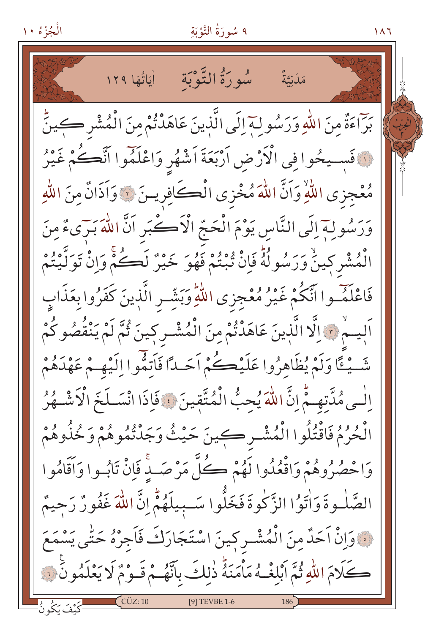# ٩ سُورَةُ التَّوْبَةِ

 $\overline{11}$ 

سُوِرَةُ التَّوْبَةِ لِّيَاتُهَا ١٢٩ مَلَىٰتَةٌ بَرّاءَةٌ مِنَ اللّهِ وَرَسُولِهِ إِلَى الَّذِينَ عَاهَدْتُمْ مِنَ الْمُشْرِكِينَّ لَ فَسِيحُوا فِي الْأَرْضِ أَرْبَعَةَ اَشْهُرٍ وَاعْلَمُوا اَنَّكُمْ غَيْرُ مُعْجِزِي اللَّهِ وَاَنَّ اللَّهَ مُخْزِي الْكَافِرِينَ ۞ وَاَذَانٌ مِنَ اللَّهِ وَرَسُولِهِ إِلَى النَّاسِ يَوْمَ الْحَجّ الْأَكْرَبِ اَنَّ اللَّهَ بَرَىءٌ مِنَ الْمُشْرِكِينَّ وَرَسُولُهُ فَإِنْ يُبْنُمْ فَهُوَ خَيْرٌ لَڪُمْ وَإِنْ تَوَلَّيْتُمْ فَاعْلَمْوا آنَّكُمْ غَيْرُ مُعْجِزِي اللَّهِ وَبَشِّرِ الَّذِينَ كَفَرُوا بِعَذَابِ اَلِيهِمْ ﴾ اِلَّا الَّذِينَ عَاهَدْتُمْ مِنَ الْمُشْـرِكِينَ ثُمَّ لَمْ يَنْقُصُوكُمْ شَّيْثًا وَلَمْ يُظَاهِرُوا عَلَيْڪُمْ اَحَساً فَأَنِّقُوا اِلَيْهِيمْ عَهْدَهُمْ الْبِي مُدَّتِهِـمٌّ إِنَّ اللّٰهَ يُحِبُّ الْمُتَّقِينَ ﴾ فَإِذَا انْسَـلَخَ الْأَشْـهُرُ الْحُرُمُ فَاقْتُلُوا الْمُشْـرِكِينَ حَيْثُ وَجَدْتُمُوهُمْ وَخُذُوهُمْ وَاحْصُرُوهُمْ وَاقْعُدُوا لَهُمْ كُلَّ مَرْصَبٌ فَإِنْ تَابُسُوا وَأَقَامُوا الصَّلْـوةَ وَأْتَوُّا الزَّكْوةَ فَخَلُّوا سَـبِيلَهُمُّ إِنَّ اللَّهَ غَفُورٌ رَحِيمٌ نَ وَإِنْ اَحَدٌ مِنَ الْمُشْـرِكِينَ اسْتَجَارَكَ فَاجِرْهُ حَتَّى يَسْمَعَ كَلَامَ اللَّهِ ثُمَّ أَبْلُغْـهُ مَأْمَنَهُّ ذٰلِكَ بِأَنَّهُـمْ قَـوْمٌ لَا يَعْلَمُونَّ نَ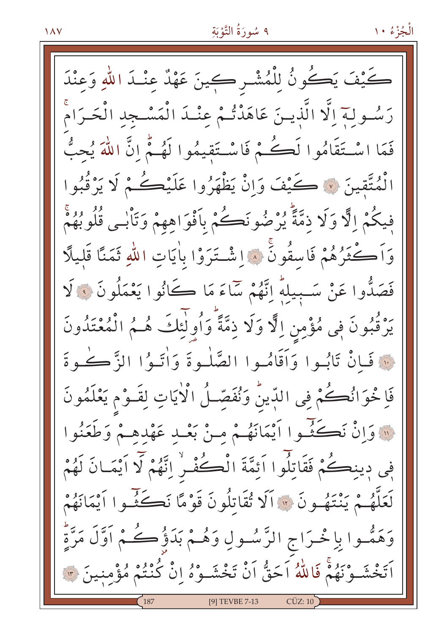كَيْفَ يَكُونُ لِلْمُشْـرِ كِينَ عَهْدٌ عِنْـدَ اللّهِ وَعِنْدَ رَسُولة اِلَّا الَّذِينَ عَاهَدْتُمْ عِنْـدَ الْمَسْـجِدِ الْحَـرَامْ فَعَا اسْتَقَامُوا لَكُمْ ۚ فَاسْتَقِيمُوا لَهُمْ إِنَّ اللَّهَ يُحِبُّ الْمُتَّقِينَ ﴾ كَيْفَ وَإِنْ يَظْهَرُوا عَلَيْكُمْ لَا يَرْقُبُوا فِيكُمْ الَّا وَلَا ذِمَّةً يُرْضُونَكُمْ بِأَفْوَاهِهِمْ وَتَأْبِي قُلُوبُهُمْ وَاَكْثَرُهُمْ فَاسِقُونَ ۚ ﴾ اِشْتَرَوْا بِاٰيَاتِ اللهِ ثَمَنًا قَلِيلًا فَصَدُّوا عَنْ سَـبِيلَهُ إِنَّهُمْ سَاءَ مَا كَانُوا يَعْمَلُونَ وَ لَا يَرْقُبُونَ فِي مُؤْمِنِ اِلَّا وَلَا ذِمَّةً وَأُولَٰئِكَ هُـمُ الْمُعْتَدُونَ فَأَنْ تَابُوا وَأَقَامُوا الصَّلْوةَ وَأْتَـوُا الزَّكْـوةَ فَإِخْوَانُكُمْ فِي اللَّهِينُ وَنُفَصِّلُ الْأَيَاتِ لِقَـوْمِ يَعْلَمُونَ @وَانْ نَكَثَّـُوا أَيْمَانَهُمْ مـنْ بَعْـدِ عَهْدِهِـمْ وَطَعَنُوا فِي دِينِڪُمْ فَقَاتِلُوا اَئِمَّةَ الْڪُفْرِ اِنَّهُمْ لَا اَيْمَـانَ لَهُمْ لَعَلَّهُـمْ يَنْتَهُـونَ ۞ أَلَا تُقَاتِلُونَ قَوْمًا نَكَثِّـوا أَيْمَانَهُمْ وَهَمُّـوا بِاِخْـرَاجِ الرَّسُـولِ وَهُـمْ بَدَؤُكُـمْ اَوَّلَ مَرَّةٌ اَ تَخْشَـوْنَهُمْ فَاللَّهُ اَحَقُّ اَنْ تَخْشَـوْهُ إِنْ كُنْتُمْ مُؤْمِنِينَ ۞ [9] TEVBE 7-13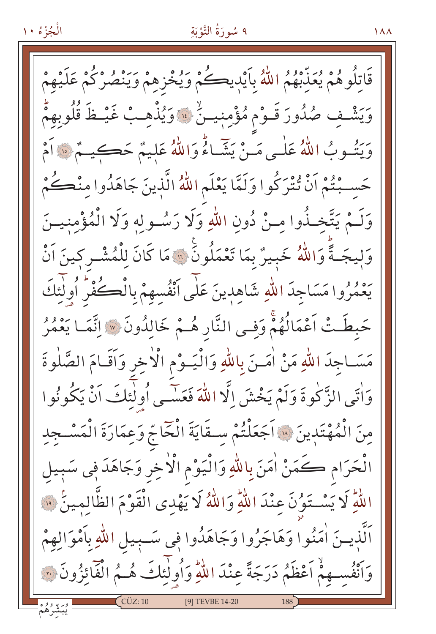قَاتِلُوهُمْ يُعَذِّبْهُمُ اللَّهُ بِأَيْدِيكُمْ وَيُخْزِهِمْ وَيَنْصُرْكُمْ عَلَيْهِمْ وَيَشْفِ صُدُورَ قَـوْم مُؤْمِنِيـنٌ ۚ ۚ وَيُذْهِـبُ غَيْـظَ قُلُوبِهِمْ وَيَتُبُوبُ اللَّهُ عَلَى مَنْ يَشَاءُ وَاللَّهُ عَلِيمٌ حَڪيمٌ ﴿ أَمْ حَسِبْتُمْ اَنْ تُتْرَكُوا وَلَمَّا يَعْلَم اللّهُ الَّذِينَ جَاهَدُوا مِنْڪُمْ وَلَـمْ يَتَّخِـٰذُوا مِـنْ دُونِ اللهِ وَلَا رَسُـوله وَلَا الْمُؤْمنيــنَ وَلِيجَـةً وَاللَّهُ خَبِيرٌ بِمَا تَعْمَلُونِّ ۚ إِيهَا كَانَ لِلْمُشْـرِكِينَ اَنْ يَعْمُرُوا مَسَاجِدَ اللّهِ شَاهِدِينَ عَلَى أَنْفُسهمْ بِالْڪُفْرِ أُولِئِكَ حَبطَتْ اَعْمَالُهُمْ وَفِي النَّارِ هُـمْ خَالِدُونَ ۞ اِنَّمَـا يَعْمُرُ مَسَـاجِدَ اللهِ مَنْ اٰمَــنَ بِاللهِ وَالْيَــوْمِ الْاٰخِرِ وَاَقَـامَ الصَّلٰوةَ وَاٰتِي الزَّكْوةَ وَلَمْ يَخْشَ إِلَّا اللَّهَ فَعَسَى أُولَٰئِكَ اَنْ يَكُونُوا منَ الْمُهْتَدِينَ ﴾ اَجَعَلْتُمْ سِـقَايَةَ الْخَاجِّ وَعِمَارَةَ الْمَسْـجِدِ الْحَرَام كَمَنْ اٰمَنَ بِاللَّهِ وَالْيَوْمِ الْاٰخِرِ وَجَاهَدَ فِي سَبِيل اللَّهِ لَا يَسْتَوُنَ عِنْدَ اللَّهِ وَاللَّهُ لَا يَهْدِى الْقَوْمَ الظَّالِمِينَ ۞ ٱلَّذِيــنَ اٰمَنُوا وَهَاجَرُوا وَجَاهَدُوا فِي سَــبِيلِ اللّٰهِ بِٱمْوَالِهِمْ وَاَنْفُسِهِمْ اَعْظَمُ دَرَجَةً عِنْدَ اللّهِ وَأُولَٰئِكَ هُـمُ الْفَائِزُونَ تَ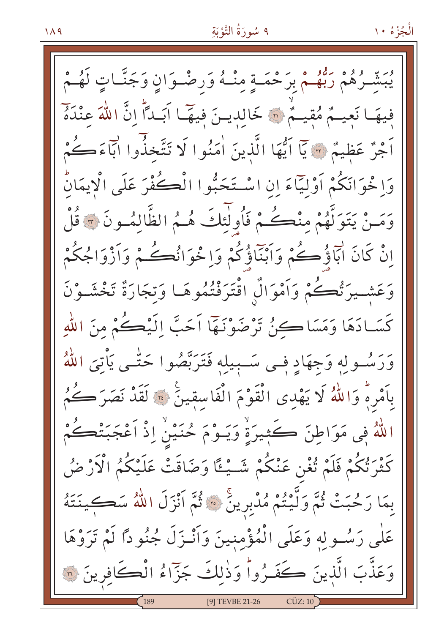ـرُهُمْ رَبُّهُـمْ بِرَحْمَـةٍ مِنْـهُ وَرصْـوَانِ وَجَنَّـاتِ لَهُـمْ فِيهَا نَعِيمٌ مُقِيمٌ \* خَالِدِينَ فِيهَا آبَداً إِنَّ اللَّهَ عِنْدَهُ اَجْرٌ عَظِيمٌ ۞ يَاۤ اَيُّهَا الَّذِينَ اٰمَنُوا لَا تَتَّخذُوا اَبَآءَكُمْ وَاِخْوَانَكُمْ أَوْلِيّاًءَ إِنِ اسْتَحَبُّوا الْكُفْرَ عَلَى الْايمَانُ وَمَـنْ يَتَوَلَّهُمْ منْڪُمْ فَأُولَئِكَ هُـمُ الظَّالمُـونَ ۞ قُلْ اِنْ كَانَ ابَاؤُكُمْ وَاَبْنَاؤُكُمْ وَاِخْوَانُكُمْ وَالْمُكُمْ وَاَزْوَاجُكُمْ وَعَشْـيرَتُٰكُمْ وَأَمْوَالٌ اقْتَرَفْتُمُوهَـا وَتِجَارَةٌ تَخْشَـوْنَ كَسَـادَهَا وَمَسَاكِــرُنُ تَرْضَوْنَـهَا اَحَبَّ اِلَيْكُمْ منَ اللهِ وَرَسُولِهٖ وَجِهَادٍ فِـى سَـبِيلِهٖ فَتَرَبَّصُوا حَتَّـى يَأْتِيَ اللَّهُ بِأَمْرِهِ وَاللَّهُ لَا يَهْدِى الْقَوْمَ الْفَاسِقِينَ ﴾ لَقَدْ نَصَرَكُمُ اللَّهُ فِي مَوَاطِنَ كَثِيرَةٍ وَيَــوْمَ حُنَيْنٌ إِذْ اَعْجَبَتْڪُمْ كَثْرَتْكُمْ فَلَمْ تُغْنِ عَنْكُمْ شَــْـْـُـًا وَضَاقَتْ عَلَيْكُمُ الْأَرْضُ بِمَا رَحُبَتْ ثُمَّ وَلَّيْتُمْ مُدْبِرِينَ ۞ ثُمَّ أَنْزَلَ اللَّهُ سَكِينَتَهُ عَلٰى رَسُولِهِ وَعَلَى الْمُؤْمِنِينَ وَأَنْـزَلَ جُنُودًا لَمْ تَرَوْهَا وَعَذَّبَ الَّذِينَ كَفَـرُواْ وَذٰلِكَ جَزّاءُ الْڪَافِرِينَ ۞ [9] TEVBE 21-26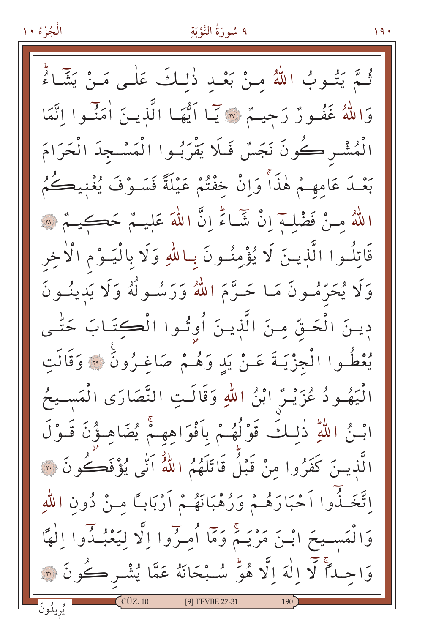الْجُزْءُ ١٠

ثُمَّ يَتُوبُ اللَّهُ مِنْ بَعْدِ ذٰلِكَ عَلٰـى مَـنْ يَتَّمَاءُ وَاللَّهُ غَفُورٌ رَحِيمٌ ﴾ يَا أَيُّهَا الَّذِينَ أُمَنِّوا اتَّمَا الْمُشْـر كُونَ نَجَسٌ فَـلَا يَقْرَبُـوا الْمَسْـجدَ الْحَرَامَ بَعْـدَ عَامهـمْ هٰذَاْ وَإِنْ خُفْتُمْ عَيْلَةً فَسَـوْفَ يُغْنِيكُمُ اللَّهُ مِنْ فَضْلَـهَ إِنْ شَبَاءً إِنَّ اللَّهَ عَلَيْـمٌ حَكَيْـمٌ ۞ قَاتِلُوا الَّذِينَ لَا يُؤْمِنُونَ بِماللَّهِ وَلَا بِالْيَـوْمِ الْأَخِر وَلَا يُحَرِّمُونَ مَا حَـرَّمَ اللَّهُ وَرَسُـولُهُ وَلَا يَدينُـونَ دِينَ الْحَقِّ مِنَ الَّذِينَ أُوِتُوا الْكِتَابَ حَتَّـى يُعْطُوا الْجِزْيَـةَ عَـنْ يَدٍ وَهُـمْ صَاغِـرُونَ ۞ وَقَالَتِ الْيَهُـودُ عُزَيْـرٌ ابْنُ اللهِ وَقَالَـتِ النَّصَارَى الْمَسـيحُ ابْـنُ اللَّهِ ذٰلِـكَ قَوْلُهُـمْ بِأَفْوَاهِهِـمْ يُضَاهِـؤُنَ قَـوْلَ الَّذِينَ كَفَرُوا مِنْ قَبْلُ قَاتَلَهُمُ اللَّهُ اَنِّي يُؤْفَكُونَ ۞ اِتَّخَـٰذُوا اَحْبَارَهُـمْ وَرُهْبَانَهُـمْ اَرْبَابـًا مِـنْ دُونِ اللهِ وَالْمَسِيحَ ابْنَ مَرْيَـمٌ وَمَا أُمِـرِّوا إِلَّا لِيَعْبُـدُّوا إِلٰهًا وَاحِداً لَا إِلَٰهَ إِلَّا هُوَّ سُبْحَانَهُ عَمَّا يُشْرِكُونَ ۞  $CCUZ:10$ ِ<br>يُويلُونَ [9] TEVBE 27-31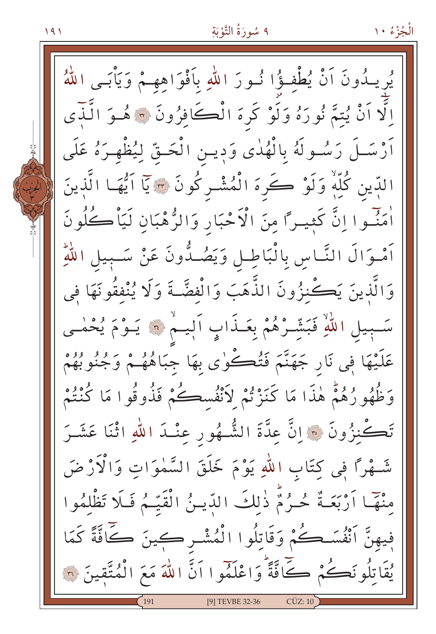$191$ 

يُرِيدُونَ اَنْ يُطْفِؤُا نُورَ اللهِ بِاَفْوَاهِهِمْ وَيَأْبَى اللّهُ اِلَّا اَنْ يُتِمَّ نُورَهُ وَلَوْ كَرِهَ الْكَافِرُونَ ۞ هُـوَ الَّـٰذِى أَرْسَـلَ رَسُـولَهُ بِالْهُدٰى وَدِيـنِ الْحَـقِّ لِيُظْهِـرَهُ عَلَى الدِّين كُلِّهٖ وَلَوْ كَرهَ الْمُشْـركُونَ ۞ يَا اَيُّهَـا الَّذِينَ أَمَنُّـوا اِنَّ كَثِيـرًا مِنَ الْأَحْبَارِ وَالرُّهْبَانِ لَيَأْكُلُونَ اَمْوَالَ النَّـاسِ بِالْبَاطِـلِ وَيَصُـدُّونَ عَنْ سَـبِيلِ اللَّهِ وَالَّذِينَ يَكْنِزُونَ الذَّهَبَ وَالْفِضَّـةَ وَلَا يُنْفِقُونَهَا فِي سَبِيلِ اللَّهِ فَبَشِّرْهُمْ بِعَـذَابٍ اَلٖيـمْ ۞ يَـوْمَ يُحْمٰـى عَلَيْهَا فِي نَارٍ جَهَنَّمَ فَتُڪُوٰى بِهَا جِبَاهُهُـمْ وَجُنُوبُهُمْ وَظُهُو رُهُمْ هٰذَا مَا كَنَزْتُمْ لاَنْفُسڪُمْ فَذُوقُوا مَا كُنْتُمْ تَكْنزُونَ ۞ إِنَّ عِدَّةَ الشُّهُورِ عِنْـدَ اللهِ اثْنَا عَشَـرَ شَـهْرًا فِي كِتَابِ اللهِ يَوْمَ خَلَقَ السَّمٰوَاتِ وَالْآزْضَ مِنْهَمَا اَرْبَعَـةٌ حُـرُمٌّ ذٰلِكَ الدِّيـنُ الْقَيِّـمُ فَلَا تَظْلِمُوا فِيهِنَّ اَنْفُسَكُمْ وَقَاتِلُوا الْمُشْرِكِينَ كَافَّةً كَمَا يُقَاتِلُونَكُمْ كَافَّةً وَاعْلَمُوا اَنَّ اللَّهَ مَعَ الْمُتَّقِينَ ۞ [9] TEVBE 32-36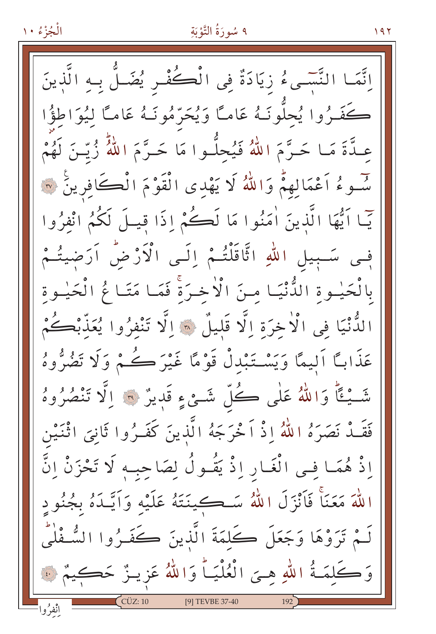اِنَّمَـا النَّسَـىءُ زِيَادَةٌ فِى الْكُفْسِ يُضَـلُّ بِـهِ الَّذِينَ كَفَـرُوا يُحلُّونَـهُ عَامـًا وَيُحَرّْمُونَـهُ عَامـًا لِيُوَاطِؤُا عَـدَّةَ مَـا حَـرَّمَ اللَّهُ فَيُحلُّـوا مَا حَـرَّمَ اللَّهُ زُيِّـنَ لَهُمْ سَّـوءُ اَعْمَالِهِمْ وَاللَّهُ لَا يَهْدِى الْقَوْمَ الْكَافِرِينَ ﴾ يّما اَيُّهَا الَّذِينَ اٰمَنُوا مَا لَكُمْ إِذَا قِيلَ لَكُمُ انْفِرُوا فِي سَـبِيلِ اللّهِ اتَّاقَلْتُـمْ إِلَـى الْأَرْضُ اَرَضِيتُـمْ بِالْحَيْـوةِ الدُّّنْيَـا مـِنَ الْأَخـرَةَ فَمَـا مَتَـا مُّ الْحَيْـوةِ الدُّنْيَا فِي الْأَخِرَةِ اِلَّا قَلِيلٌ \* اِلَّا تَنْفِرُوا يُعَذَّبْكُمْ عَذَابًا اَلِيمًا وَيَسْتَبْدلْ قَوْمًا غَيْرَكُمْ وَلَا تَضُرُّوهُ شَّيْئًا وَاللَّهُ عَلَى كُلِّ شَّيْءٍ قَدِيرٌ ۞ الَّا تَنْصُرُوهُ فَقَــدْ نَصَرَهُ اللّهُ إِذْ اَحْرَجَهُ الَّذينَ كَفَــرُوا ثَانِيَ اثْنَـيْنِ إِذْ هُمَا فِـي الْغَـارِ إِذْ يَقُـولُ لِصَاحِبِـهِ لَا تَحْزَنْ إِنَّ اللَّهَ مَعَنَّا فَأَنْزَلَ اللَّهُ سَكِينَتَهُ عَلَيْه وَاَيَّـٰدَهُ بِجُنُودٍ لَـمْ تَرَوْهَا وَجَعَلَ كَلمَةَ الَّذينَ كَفَـرُوا الشُّـفْلْي وَكَلَّمَةُ اللَّهِ هِيَ الْعُلْيَـاً وَاللَّهُ عَزِيـزٌ حَكِيمٌ ﴾ [9] TEVBE 37-40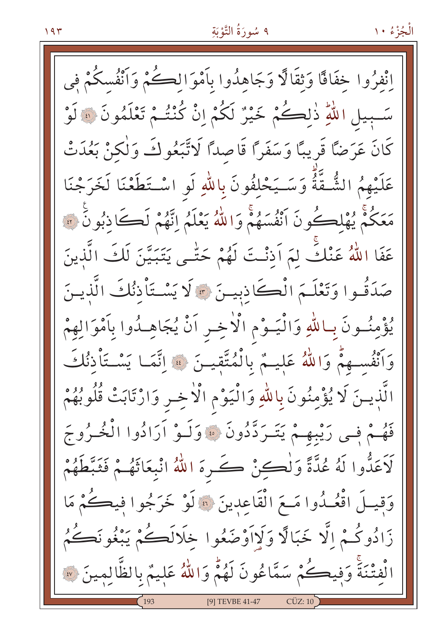الْجُزْءُ ١٠

انْفِرُوا خِفَاقًا وَثِقَالًا وَجَاهِدُوا بِأَمْوَالِكُمْ وَأَنْفُسكُمْ في سَّـبِيلِ اللَّهِ ذٰلِكُمْ خَيْرٌ لَكُمْ إِنْ كُنْتُـمْ تَعْلَمُونَ ۞ لَوْ كَانَ عَرَضًا قَرِيبًا وَسَفَرًا قَاصِدًا لَاتَّبَعُوكَ وَلٰكنْ بَعُدَتْ عَلَيْهِمُ الشُّقَّةُ وَسَـيَحْلِفُونَ بِاللّهِ لَو اسْـتَطَعْنَا لَخَرَجْنَا مَعَكُمْ يُهْلِكُونَ أَنْفُسَهُمْ وَاللَّهُ يَعْلَمُ إِنَّهُمْ لَكَانِبُونَ ۞ عَفَا اللَّهُ عَنْكً لِمَ اَذنْتَ لَهُمْ حَتّٰـى يَتَبَيَّنَ لَكَ الَّذِينَ صَدَقُوا وَتَعْلَـمَ الْكَاذِبِيـنَ \* لَا يَسْـتَأْذِنُكَ الَّذِيـنَ يُؤْمِنُونَ بِمالَّهِ وَالْيَــوْمِ الْأَخِــرِ اَنْ يُجَاهِــدُوا بِاَمْوَالِهِمْ وَأَنْفُسِهِمْ وَاللَّهُ عَلِيهُمْ بِالْمُتَّقِيلَ ۞ اِنَّمَا يَسْتَأْذِنُكَ الَّذِينَ لَا يُؤْمِنُونَ بِاللَّهِ وَالْيَوْمِ الْأَخِـرِ وَارْتَابَتْ قُلُوبُهُمْ فَهُمْ فِسِي رَيْبِهِمْ يَتَسَرَدَّدُونَ ﴾ وَلَـوْ أَرَادُوا الْخُـرُوجَ لَاعَدُّوا لَهُ عُدَّةً وَلُكِنْ كَ رِهَ اللَّهُ انْبِعَاثَهُـمْ فَثَبَّطَهُمْ وَقِيلَ اقْعُــدُوا مَــعَ الْقَاعِدِينَ ۞ لَوْ خَرَجُوا فِيكُمْ مَا زَادُوكُمْ اِلَّا خَبَالًا وَلَااَوْضَعُوا خِلَالَكُمْ يَبْغُونَكُمُ الْفِتْنَةَ وَفِيكُمْ سَمَّاعُونَ لَهُمّْ وَاللَّهُ عَلِيمٌ بِالظَّالِمِينَ ۞ [9] TEVBE 41-47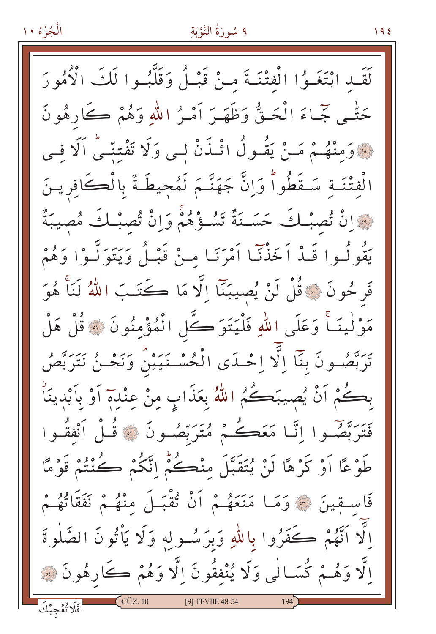### ٩ سُورَةُ التَّوْبَةِ

 $195$ 

لَقَّبِ ابْتَغَـوُا الْفتْنَـةَ مـنْ قَبْـلُ وَقَلَّبُـوا لَكَ الْأُمُورَ حَتَّـي جَّـاءَ الْحَـةُّ وَظَهَـرَ أَمْـرُ اللّهِ وَهُمْ كَارِهُونَ لِهَ وَمِنْهُمْ مَنْ يَقُولُ ائْذَنْ لِي وَلَا تَفْتِنِّي اَلَا فِي الْفِتْنَـةِ سَـقَطُواً وَانَّ جَهَنَّـمَ لَمُحِيطَةٌ بِالْڪَافِرِيـنَ فَعَانُ تُصِبْكَ حَسَـنَةٌ تَسُـؤُهُمْ وَإِنْ تُصِبْكَ مُصِيبَةٌ يَقُولُوا قَـٰذْ اَخَذْنَـا اَمْرَنَـا مـنْ قَبْـلُ وَيَتَوَلَّـوْا وَهُمْ فَرِحُونَ ۞ قُلْ لَنْ يُصِيبَنَّا الَّا مَا كَتَـبَ اللَّهُ لَنَاْ هُوَ مَوْ لٰينَــاً وَعَلَى اللهِ فَلْيَتَوَكَّلِ الْمُؤْمِنُونَ ۞ قُلْ هَلْ يَرَّهُمُونَ بِنَآ إِلَّا إِحْمَدَى الْحُسْـنَيَيْنُ وَنَحْـنُ نَتَرَبَّصُ بِكُمْ اَنْ يُصِيبَكُمُ اللَّهُ بِعَذَابٍ مِنْ عِنْدِهَ اَوْ بِاَيْدِينَا فَتَرَبَّهُمُ وا إِنَّا مَعَكُمْ مُتَرَبِّصُونَ ۞ قُـلْ أَنْفَقُـوا طَوْعًا أَوْ كَرْهًا لَنْ يُتَقَبَّلَ مِنْكُمْ إِتَّكُمْ كُنْتُمْ قَوْمًا فَاسِقِينَ ﴾ وَمَا مَنَعَهُمْ أَنْ قُقْبَلَ مِنْهُمْ نَفَقَاتُهُمْ الَّا اَنَّهُمْ كَفَرُوا باللهِ وَبرَسُولِهِ وَلَا يَأْتُونَ الصَّلٰوةَ لِّا وَهُـمْ كُسَـالٰى وَلَا يُنْفِقُونَ اِلَّا وَهُمْ كَارِهُونَ ﴾ [9] TEVBE 48-54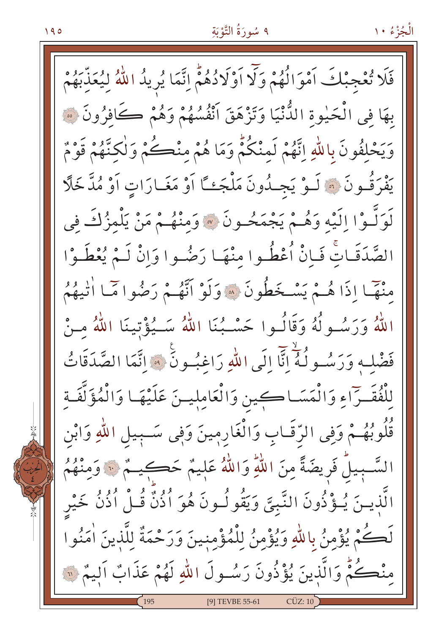الْجُزْءُ ١٠

فَلَا تُعْجِبْكَ اَمْوَالُهُمْ وَلَا اَوْلَادُهُمْ إِنَّمَا يُرِيدُ اللَّهُ لِيُعَذِّبَهُمْ بهَا في الْحَيْوةِ الدُّّنْيَا وَتَزْهَقَ انْفُسُهُمْ وَهُمْ كَافِرُونَ ﴿ وَيَحْلَفُونَ بِاللَّهِ إِنَّهُمْ لَمنْكُمْ وَمَا هُمْ منْكُمْ وَلَكنَّهُمْ قَوْمٌ يْفْرَقُــونَ ۞ لَــوْ يَجــدُونَ مَلْجَـئًا أَوْ مَغَــارَاتِ أَوْ مُدَّخَلًا لَوَلَّـوْا اِلَيْهِ وَهُــمْ يَجْمَحُــونَ ۞ وَمِنْهُــمْ مَنْ يَلْمِزُكَ فِي الصَّدَقَـاتِ فَـاِنْ اُعْطُـوا منْهَـا رَضُـوا وَانْ لَـمْ يُعْطَـوْا مْنْهَمَا إِذَا هُـمْ يَسْخَطُونَ ۞ وَلَوْ أَنَّهُـمْ رَضُوا مَّـا أَتْيَهُمُ اللَّهُ وَرَسُـولُهُ وَقَالُـوا حَسْـبُنَا اللَّهُ سَـيُؤْتِينَا اللَّهُ مـنْ فَضْلِهِ وَرَسُولُهُ ۚ إِنَّا الِّي اللَّهِ رَاغِبُونَ ۚ وَ إِنَّمَا الصَّدَقَاتُ لِلْفُقَـرّاءِ وَالْمَسَـاكِين وَالْعَامِلِيـنَ عَلَيْهَـا وَالْمُؤَلَّفَـةِ قُلُوبُهُـمْ وَفِي الرِّقَـابِ وَالْغَارِمِينَ وَفِي سَـبِيلِ اللَّهِ وَابْنِ السَّـبِيلٌ فَرِيضَةً مِنَ اللَّهِ وَاللَّهُ عَلِيمٌ حَكِيـمٌ ۞ وَمِنْهُمُ الَّذِيسَ يُـؤْذُونَ النَّبيَّ وَيَقُولُـونَ هُوَ أُذُنَّ قُـلْ أُذُنُّ خَيْر لَكُمْ يُؤْمِنُ بِاللَّهِ وَيُؤْمِنُ لِلْمُؤْمِنِينَ وَرَحْمَةٌ لِلَّذِينَ اٰمَنُوا منْڪُمُّ وَالَّذِينَ يُؤْذُونَ رَسُـولَ اللّٰهِ لَهُمْ عَذَابٌ اَليمٌ ۞ [9] TEVBE 55-61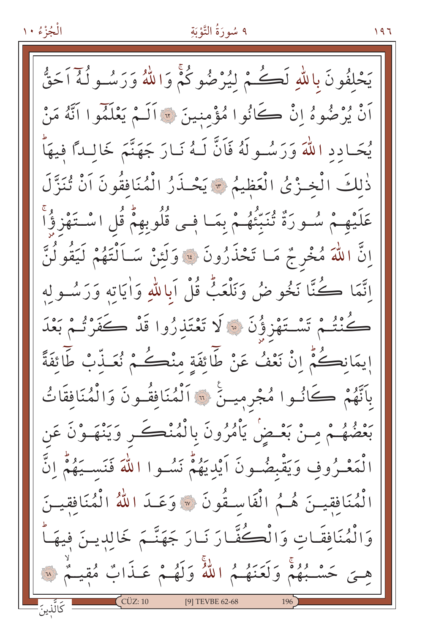### ٩ سُورَةُ التَّوْبَةِ

يَحْلَفُونَ بِاللَّهِ لَكُمْ لَيُرْضُوكُمْ وَاللَّهُ وَرَسُـولُهُ أَحَقُّ أَنْ يُرْضُوهُ إِنْ كَانُوا مُؤْمِنِينَ ۞ أَلَـمْ يَعْلَمُوا أَنَّهُ مَنْ يُحَادِدِ اللَّهَ وَرَسُولَهُ فَاَنَّ لَـهُ نَـارَ جَهَنَّمَ خَالِـدًا فِيهَاّ ذٰلكَ الْخِزْيُ الْعَظِيمُ \* يَحْذَرُ الْمُنَافِقُونَ اَنْ تُنَزَّلَ عَلَيْهِـمْ سُـوِرَةٌ تُنَبِّئُهُـمْ بِمَـا فِـى قُلُوبِهِمْ قُلِ اسْـتَهْزِؤُاْ إِنَّ اللَّهَ مُخْرِجٌ مَـا تَحْذَرُونَ ﴾ وَلَئِنْ سَـاَلْتَهُمْ لَيَقُولُنَّ اِنَّمَا كُنَّا نَخُوضُ وَنَلْعَبُّ قُلْ اَبِاللَّهِ وَاٰيَاتِهِ وَرَسُولِهِ كُنْتُمْ تَسْتَهْزِؤُنَ ۞ لَا تَعْتَذِرُوا قَدْ كَفَرْتُمْ بَعْدَ إِيمَانِكُمْ إِنْ نَعْفُ عَنْ طَائِفَةِ مِنْكُمْ نُعَـذَّبْ طَائِفَةً بِاتَّهُمْ كَانُوا مُجْرِمِينَ ۞ ٱلْمُنَافِقُونَ وَالْمُنَافَقَاتُ بَعْضُهُـمْ مِـنْ بَعْـضْ يَأْمُرُونَ بِالْمُنْڪَـرِ وَيَنْهَـوْنَ عَن الْمَعْـرُوفِ وَيَقْبِضُـونَ أَيْدِيَهُمْ نَسُـوا اللَّهَ فَنَسـيَهُمْ إِنَّ الْمُنَافِقِينَ هُـمُ الْفَاسِـقُونَ ۞ وَعَـدَ اللَّهُ الْمُنَافِقِيـنَ وَالْمُنَافِقَاتِ وَالْكُفَّارَ نَـارَ جَهَنَّـمَ خَالِدِينَ فِيهَـاً هِيَ حَسْبُهُمْ وَلَعَنَهُمُ اللَّهُ وَلَهُمْ عَـذَابٌ مُقِيـمٌ ۞ ؘ<br>ػڷڵۜڹڹؘ  $\int$  CÜZ: 10 [9] TEVBE 62-68

 $197$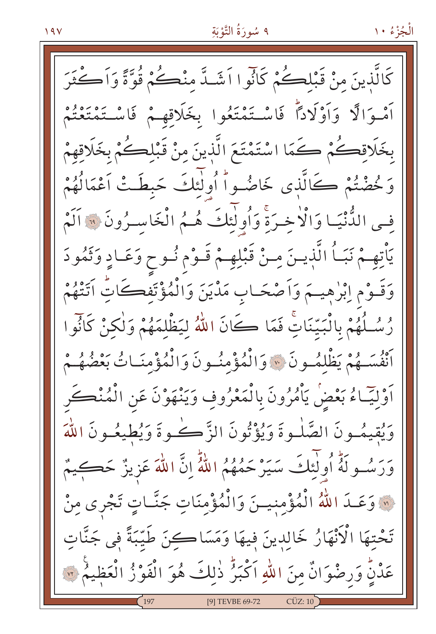كَالَّذِينَ مِنْ قَبْلِكُمْ كَانُوا اَشَدَّ مِنْكُمْ قُوَّةً وَاَكْثَرَ أَمْدَالًا وَأَوْلَادًا فَاسْتَمْتَعُوا بِخَلَاقِهِمْ فَاسْتَمْتَعْتُمْ بِخَلَاقِكُمْ كَمَا اسْتَمْتَعَ الَّذِينَ مِنْ قَبْلِكُمْ بِخَلَاقِهِمْ وَكْضْتُمْ كَالَّذِي خَاضُواْ أُولٰئِكَ حَبطَتْ اَعْمَالُهُمْ فِسِي الدُّنْيَـا وَالْاخِـرَةِ وَاُولَٰئِكَ هُـمُ الْخَاسـرُونَ ﴾ اَلَٰغَ يَأْتِهِمْ نَبَـاُ الَّذِيـنَ مِـنْ قَبْلِهِـمْ قَـوْم نُـوح وَعَـادٍ وَثَمُودَ وَقَـوْمِ اِبْرٰهِيــمَ وَاَصْحَـابِ مَدْيَنَ وَالْمُؤْتَفِكَاتُ اَتَتْهُمْ رُسُلُهُمْ بِالْبَيِّنَاتِ فَمَا كَانَ اللَّهُ لِيَظْلِمَهُمْ وَلْكِنْ كَانُوا أَنْفُسَــهُمْ يَظْلِمُــونَ \* وَالْمُؤْمِنُــونَ وَالْمُؤْمِنَــاتُ بَعْضُهُــمْ اَوْلِيَـاءُ بَعْضُ يَأْمُرُونَ بِالْمَعْرُوفِ وَيَنْهَوْنَ عَنِ الْمُنْڪَرِ وَيُقِيمُــونَ الصَّلْــوةَ وَيُؤْتُونَ الزَّكْـــفوةَ وَيُطِيعُــونَ اللَّهَ وَرَسُــولَهُ أُولٰئِكَ سَيَرْحَمُهُمُ اللَّهُّ إِنَّ اللَّهَ عَزِيزٌ حَكِـيمٌ ۞ وَعَـدَ اللّٰهُ الْمُؤْمِنِيـنَ وَالْمُؤْمِنَاتِ جَنَّـاتٍ تَجْرِي مِنْ تَحْتِهَا الْأَنْهَارُ خَالِدِينَ فِيهَا وَمَسَاكِنَ طَيِّبَةً فِي جَنَّاتِ عَدْنٍّ وَرِضْوَانٌ مِنَ اللّٰهِ اَكْبَرُ ذٰلِكَ هُوَ الْفَوْزُ الْعَظِيمُ ۞ [9] TEVBE 69-72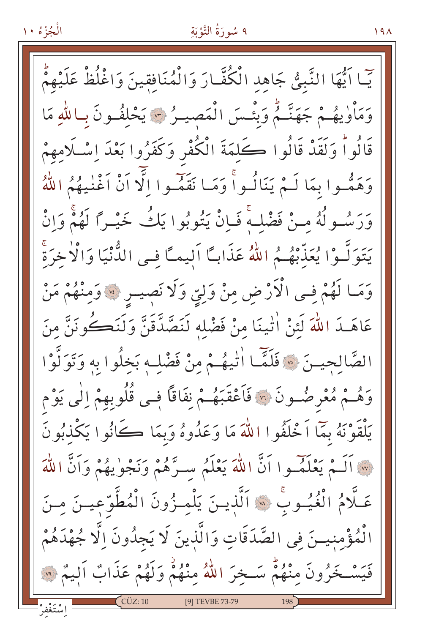## ٩ سُورَةُ التَّوْبَةِ

يّا ايُّهَا النَّبِيُّ جَاهِدِ الْكُفَّارَ وَالْمُنَافِقِينَ وَاغْلُظْ عَلَيْهِمُّ وَمَأْوِيهُمْ جَهَنَّمُ وَبِئْسَ الْمَصِيلُ ٣ يَحْلَفُونَ بِبِاللَّهِ مَا قَالُواْ وَلَقَدْ قَالُوا كَلِمَةَ الْكُفْرِ وَكَفَرُوا بَعْدَ اِسْلَامِهِمْ وَهَمُّوا بِمَا لَـمْ يَنَالُـواً وَمَـا نَقَمُّـوا اِلَّا أَنْ أَغْنٰـِهُمُ اللَّهُ وَرَسُـولُهُ مـنْ فَضْلـهَ فَـاِنْ يَتُوبُوا يَكُ خَيْـرًا لَهُمْ وَإِنْ يَتَوَلَّـوْا يُعَذِّبْهُـمُ اللهُ عَذَابـًا اَلِيمـًا فِـى الدُّنْيَا وَالْأَخرَةَ وَمَا لَهُمْ فِي الْأَرْضِ مِنْ وَلِيِّ وَلَا نَصِيـرٍ \* وَمِنْهُمْ مَنْ عَاهَـدَ اللَّهَ لَئِنْ اٰتِينَا مِنْ فَضْلِهِ لَنَصَّدَّقَنَّ وَلَنَكُونَنَّ مِنَ الصَّالحيـنَ \* فَلَمَّا الْيهُـمْ مِنْ فَضْلِهِ بَخِلُوا بِهِ وَتَوَلَّوْا وَهُـمْ مُعْرِضُـونَ ۞ فَاَعْقَبَهُـمْ نِفَاقًا فِـي قُلُوبِهِمْ اِلْي يَوْم يَلْقَوْنَهُ بِمَا اَخْلَفُوا اللَّهَ مَا وَعَدُوهُ وَبِمَا كَانُوا يَكْذِبُونَ w اَلَـمْ يَعْلَمۡـوا اَنَّ اللّٰهَ يَعْلَمُ سـرَّهُمْ وَنَجْوٰيهُمْ وَاَنَّ اللّٰهَ عَلَّامُ الْغُيُـوبِّ ۞ اَلَّذِيـنَ يَلْمِـزُونَ الْمُطَّوّعِيـنَ مِـنَ الْمُؤْمِنِيسَ فِي الصَّدَقَاتِ وَالَّذِينَ لَا يَجِدُونَ اِلَّا جُهْدَهُمْ فَيَسْخَرُونَ مِنْهُمْ سَخِرَ اللَّهُ مِنْهُمْ وَلَهُمْ عَذَابٌ أَلِيمٌ ۞ [9] TEVBE 73-79

 $19<sub>A</sub>$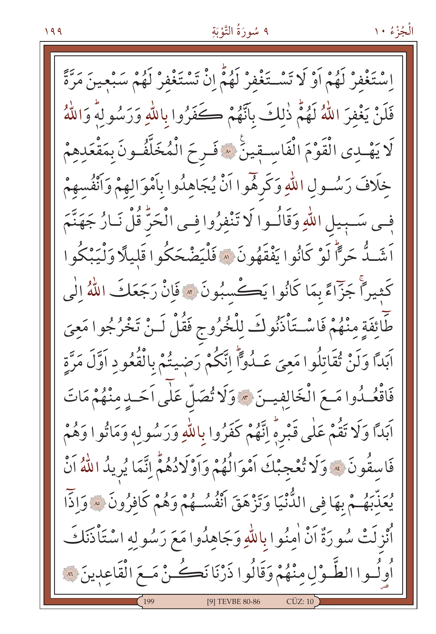